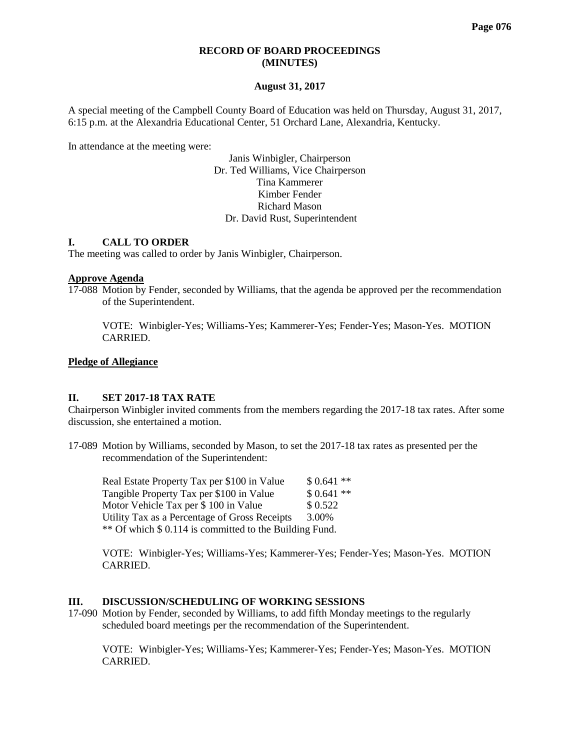#### **RECORD OF BOARD PROCEEDINGS (MINUTES)**

#### **August 31, 2017**

A special meeting of the Campbell County Board of Education was held on Thursday, August 31, 2017, 6:15 p.m. at the Alexandria Educational Center, 51 Orchard Lane, Alexandria, Kentucky.

In attendance at the meeting were:

Janis Winbigler, Chairperson Dr. Ted Williams, Vice Chairperson Tina Kammerer Kimber Fender Richard Mason Dr. David Rust, Superintendent

## **I. CALL TO ORDER**

The meeting was called to order by Janis Winbigler, Chairperson.

#### **Approve Agenda**

17-088 Motion by Fender, seconded by Williams, that the agenda be approved per the recommendation of the Superintendent.

VOTE: Winbigler-Yes; Williams-Yes; Kammerer-Yes; Fender-Yes; Mason-Yes. MOTION CARRIED.

#### **Pledge of Allegiance**

#### **II. SET 2017-18 TAX RATE**

Chairperson Winbigler invited comments from the members regarding the 2017-18 tax rates. After some discussion, she entertained a motion.

17-089 Motion by Williams, seconded by Mason, to set the 2017-18 tax rates as presented per the recommendation of the Superintendent:

Real Estate Property Tax per  $$100$  in Value  $$0.641**$ Tangible Property Tax per \$100 in Value \$ 0.641 \*\*<br>Motor Vehicle Tax per \$ 100 in Value \$ 0.522 Motor Vehicle Tax per  $$100$  in Value Utility Tax as a Percentage of Gross Receipts 3.00% \*\* Of which \$ 0.114 is committed to the Building Fund.

VOTE: Winbigler-Yes; Williams-Yes; Kammerer-Yes; Fender-Yes; Mason-Yes. MOTION CARRIED.

## **III. DISCUSSION/SCHEDULING OF WORKING SESSIONS**

17-090 Motion by Fender, seconded by Williams, to add fifth Monday meetings to the regularly scheduled board meetings per the recommendation of the Superintendent.

VOTE: Winbigler-Yes; Williams-Yes; Kammerer-Yes; Fender-Yes; Mason-Yes. MOTION CARRIED.